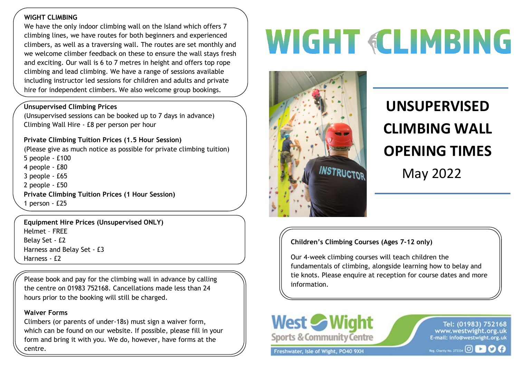### **WIGHT CLIMBING**

 climbers, as well as a traversing wall. The routes are set monthly and Inc we define diffiled Technical of these to efficient the wall stays free<br>and exciting. Our wall is 6 to 7 metres in height and offers top rope We have the only indoor climbing wall on the Island which offers 7 climbing lines, we have routes for both beginners and experienced we welcome climber feedback on these to ensure the wall stays fresh climbing and lead climbing. We have a range of sessions available including instructor led sessions for children and adults and private hire for independent climbers. We also welcome group bookings.

### **Unsupervised Climbing Prices**

(Unsupervised sessions can be booked up to 7 days in advance) Climbing Wall Hire - £8 per person per hour

### **Private Climbing Tuition Prices (1.5 Hour Session)**

(Please give as much notice as possible for private climbing tuition) 5 people - £100 4 people - £80 3 people - £65 2 people - £50 **Private Climbing Tuition Prices (1 Hour Session)**  1 person - £25

**Equipment Hire Prices (Unsupervised ONLY)**  Helmet – FREE Belay Set - £2 Harness and Belay Set - £3 Harness - £2

Please book and pay for the climbing wall in advance by calling the centre on 01983 752168. Cancellations made less than 24 hours prior to the booking will still be charged.

#### **Waiver Forms**

Climbers (or parents of under-18s) must sign a waiver form, which can be found on our website. If possible, please fill in your form and bring it with you. We do, however, have forms at the centre.

# **WIGHT «CLIMBING**



## **UNSUPERVISED CLIMBING WALL OPENING TIMES** May 2022

### **Children's Climbing Courses (Ages 7-12 only)**

Our 4-week climbing courses will teach children the fundamentals of climbing, alongside learning how to belay and tie knots. Please enquire at reception for course dates and more information.



Freshwater, Isle of Wight, PO40 9XH

Tel: (01983) 752168 www.westwight.org.uk E-mail: info@westwight.org.uk